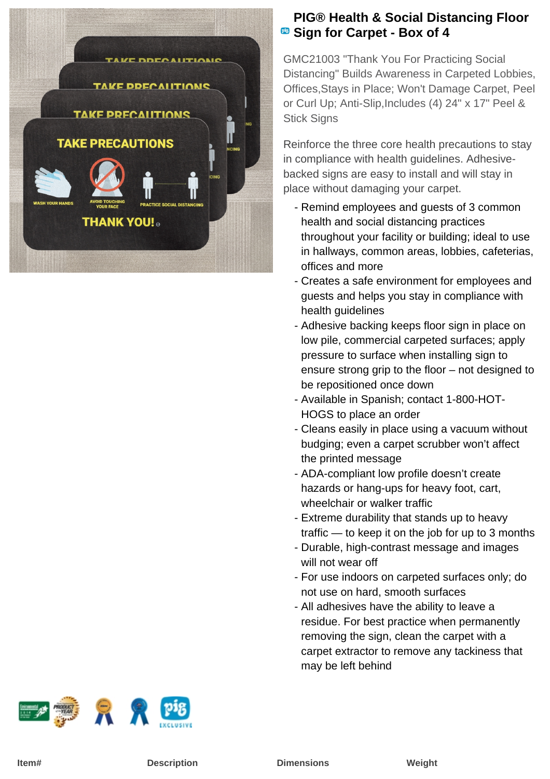

## **PIG® Health & Social Distancing Floor B** Sign for Carpet - Box of 4

GMC21003 "Thank You For Practicing Social Distancing" Builds Awareness in Carpeted Lobbies, Offices,Stays in Place; Won't Damage Carpet, Peel or Curl Up; Anti-Slip,Includes (4) 24" x 17" Peel & Stick Signs

Reinforce the three core health precautions to stay in compliance with health guidelines. Adhesivebacked signs are easy to install and will stay in place without damaging your carpet.

- Remind employees and guests of 3 common health and social distancing practices throughout your facility or building; ideal to use in hallways, common areas, lobbies, cafeterias, offices and more
- Creates a safe environment for employees and guests and helps you stay in compliance with health quidelines
- Adhesive backing keeps floor sign in place on low pile, commercial carpeted surfaces; apply pressure to surface when installing sign to ensure strong grip to the floor – not designed to be repositioned once down
- Available in Spanish; contact 1-800-HOT-HOGS to place an order
- Cleans easily in place using a vacuum without budging; even a carpet scrubber won't affect the printed message
- ADA-compliant low profile doesn't create hazards or hang-ups for heavy foot, cart, wheelchair or walker traffic
- Extreme durability that stands up to heavy traffic — to keep it on the job for up to 3 months
- Durable, high-contrast message and images will not wear off
- For use indoors on carpeted surfaces only; do not use on hard, smooth surfaces
- All adhesives have the ability to leave a residue. For best practice when permanently removing the sign, clean the carpet with a carpet extractor to remove any tackiness that may be left behind

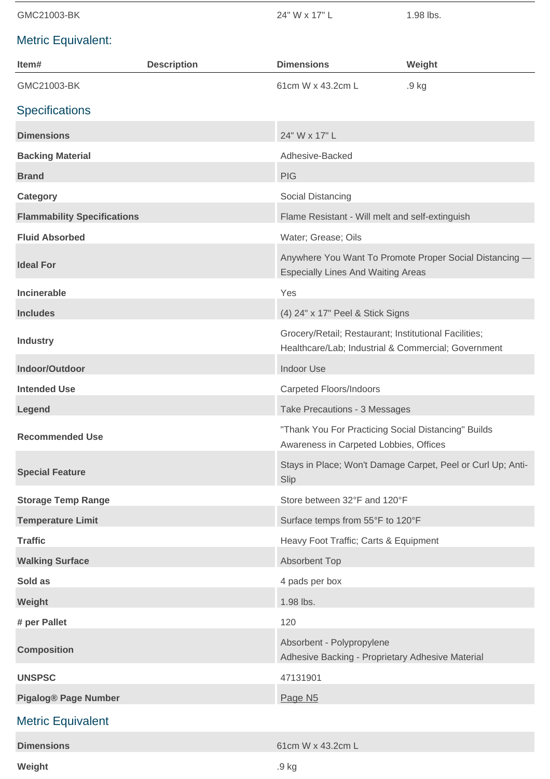| GMC21003-BK                        |                    | 24" W x 17" L                                                                                                | 1.98 lbs.                                                   |
|------------------------------------|--------------------|--------------------------------------------------------------------------------------------------------------|-------------------------------------------------------------|
| <b>Metric Equivalent:</b>          |                    |                                                                                                              |                                                             |
| Item#                              | <b>Description</b> | <b>Dimensions</b>                                                                                            | Weight                                                      |
| GMC21003-BK                        |                    | 61cm W x 43.2cm L                                                                                            | .9 kg                                                       |
| <b>Specifications</b>              |                    |                                                                                                              |                                                             |
| <b>Dimensions</b>                  |                    | 24" W x 17" L                                                                                                |                                                             |
| <b>Backing Material</b>            |                    | Adhesive-Backed                                                                                              |                                                             |
| <b>Brand</b>                       |                    | <b>PIG</b>                                                                                                   |                                                             |
| <b>Category</b>                    |                    | Social Distancing                                                                                            |                                                             |
| <b>Flammability Specifications</b> |                    | Flame Resistant - Will melt and self-extinguish                                                              |                                                             |
| <b>Fluid Absorbed</b>              |                    | Water; Grease; Oils                                                                                          |                                                             |
| <b>Ideal For</b>                   |                    | Anywhere You Want To Promote Proper Social Distancing -<br><b>Especially Lines And Waiting Areas</b>         |                                                             |
| <b>Incinerable</b>                 |                    | Yes                                                                                                          |                                                             |
| <b>Includes</b>                    |                    | (4) 24" x 17" Peel & Stick Signs                                                                             |                                                             |
| <b>Industry</b>                    |                    | Grocery/Retail; Restaurant; Institutional Facilities;<br>Healthcare/Lab; Industrial & Commercial; Government |                                                             |
| Indoor/Outdoor                     |                    | <b>Indoor Use</b>                                                                                            |                                                             |
| <b>Intended Use</b>                |                    | <b>Carpeted Floors/Indoors</b>                                                                               |                                                             |
| Legend                             |                    | Take Precautions - 3 Messages                                                                                |                                                             |
| <b>Recommended Use</b>             |                    | "Thank You For Practicing Social Distancing" Builds<br>Awareness in Carpeted Lobbies, Offices                |                                                             |
| <b>Special Feature</b>             |                    | Slip                                                                                                         | Stays in Place; Won't Damage Carpet, Peel or Curl Up; Anti- |
| <b>Storage Temp Range</b>          |                    | Store between 32°F and 120°F                                                                                 |                                                             |
| <b>Temperature Limit</b>           |                    | Surface temps from 55°F to 120°F                                                                             |                                                             |
| <b>Traffic</b>                     |                    | Heavy Foot Traffic; Carts & Equipment                                                                        |                                                             |
| <b>Walking Surface</b>             |                    | <b>Absorbent Top</b>                                                                                         |                                                             |
| Sold as                            |                    | 4 pads per box                                                                                               |                                                             |
| Weight                             |                    | 1.98 lbs.                                                                                                    |                                                             |
| # per Pallet                       |                    | 120                                                                                                          |                                                             |
| <b>Composition</b>                 |                    | Absorbent - Polypropylene<br>Adhesive Backing - Proprietary Adhesive Material                                |                                                             |
| <b>UNSPSC</b>                      |                    | 47131901                                                                                                     |                                                             |
| <b>Pigalog® Page Number</b>        |                    | Page N <sub>5</sub>                                                                                          |                                                             |
| <b>Metric Equivalent</b>           |                    |                                                                                                              |                                                             |

| <b>Dimensions</b> | 61cm W x 43.2cm L |
|-------------------|-------------------|
| Weight            | .9 <sub>kg</sub>  |